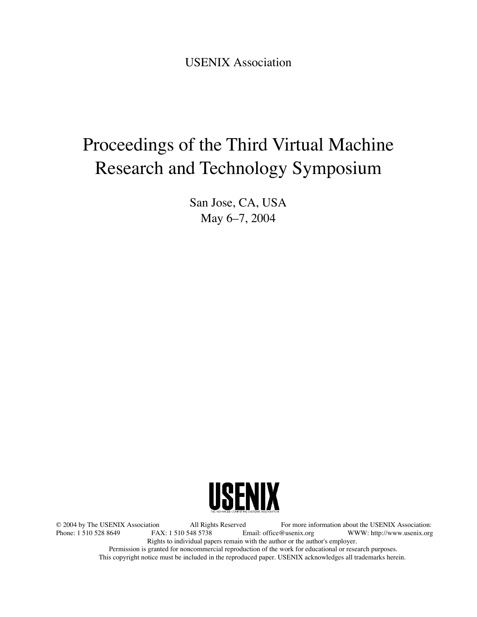USENIX Association

# Proceedings of the Third Virtual Machine Research and Technology Symposium

San Jose, CA, USA May 6–7, 2004



© 2004 by The USENIX Association All Rights Reserved For more information about the USENIX Association: WWW: http://www.usenix.org Rights to individual papers remain with the author or the author's employer. Permission is granted for noncommercial reproduction of the work for educational or research purposes. This copyright notice must be included in the reproduced paper. USENIX acknowledges all trademarks herein.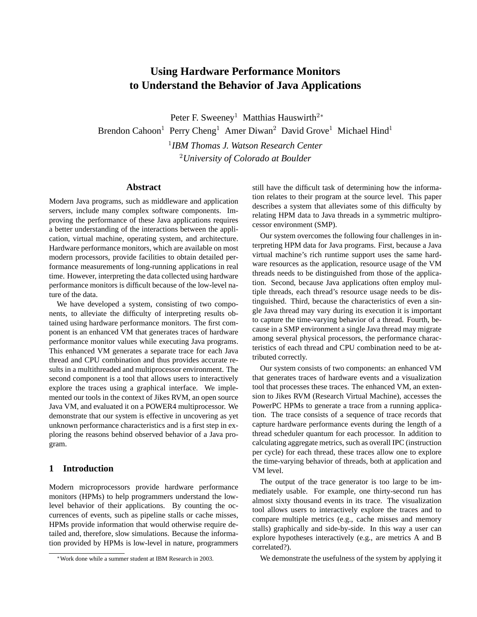# **Using Hardware Performance Monitors to Understand the Behavior of Java Applications**

Peter F. Sweeney<sup>1</sup> Matthias Hauswirth<sup>2</sup><sup>∗</sup> Brendon Cahoon<sup>1</sup> Perry Cheng<sup>1</sup> Amer Diwan<sup>2</sup> David Grove<sup>1</sup> Michael Hind<sup>1</sup> 1 *IBM Thomas J. Watson Research Center* <sup>2</sup>*University of Colorado at Boulder*

#### **Abstract**

Modern Java programs, such as middleware and application servers, include many complex software components. Improving the performance of these Java applications requires a better understanding of the interactions between the application, virtual machine, operating system, and architecture. Hardware performance monitors, which are available on most modern processors, provide facilities to obtain detailed performance measurements of long-running applications in real time. However, interpreting the data collected using hardware performance monitors is difficult because of the low-level nature of the data.

We have developed a system, consisting of two components, to alleviate the difficulty of interpreting results obtained using hardware performance monitors. The first component is an enhanced VM that generates traces of hardware performance monitor values while executing Java programs. This enhanced VM generates a separate trace for each Java thread and CPU combination and thus provides accurate results in a multithreaded and multiprocessor environment. The second component is a tool that allows users to interactively explore the traces using a graphical interface. We implemented our tools in the context of Jikes RVM, an open source Java VM, and evaluated it on a POWER4 multiprocessor. We demonstrate that our system is effective in uncovering as yet unknown performance characteristics and is a first step in exploring the reasons behind observed behavior of a Java program.

#### **1 Introduction**

Modern microprocessors provide hardware performance monitors (HPMs) to help programmers understand the lowlevel behavior of their applications. By counting the occurrences of events, such as pipeline stalls or cache misses, HPMs provide information that would otherwise require detailed and, therefore, slow simulations. Because the information provided by HPMs is low-level in nature, programmers

still have the difficult task of determining how the information relates to their program at the source level. This paper describes a system that alleviates some of this difficulty by relating HPM data to Java threads in a symmetric multiprocessor environment (SMP).

Our system overcomes the following four challenges in interpreting HPM data for Java programs. First, because a Java virtual machine's rich runtime support uses the same hardware resources as the application, resource usage of the VM threads needs to be distinguished from those of the application. Second, because Java applications often employ multiple threads, each thread's resource usage needs to be distinguished. Third, because the characteristics of even a single Java thread may vary during its execution it is important to capture the time-varying behavior of a thread. Fourth, because in a SMP environment a single Java thread may migrate among several physical processors, the performance characteristics of each thread and CPU combination need to be attributed correctly.

Our system consists of two components: an enhanced VM that generates traces of hardware events and a visualization tool that processes these traces. The enhanced VM, an extension to Jikes RVM (Research Virtual Machine), accesses the PowerPC HPMs to generate a trace from a running application. The trace consists of a sequence of trace records that capture hardware performance events during the length of a thread scheduler quantum for each processor. In addition to calculating aggregate metrics, such as overall IPC (instruction per cycle) for each thread, these traces allow one to explore the time-varying behavior of threads, both at application and VM level.

The output of the trace generator is too large to be immediately usable. For example, one thirty-second run has almost sixty thousand events in its trace. The visualization tool allows users to interactively explore the traces and to compare multiple metrics (e.g., cache misses and memory stalls) graphically and side-by-side. In this way a user can explore hypotheses interactively (e.g., are metrics A and B correlated?).

We demonstrate the usefulness of the system by applying it

<sup>∗</sup>Work done while a summer student at IBM Research in 2003.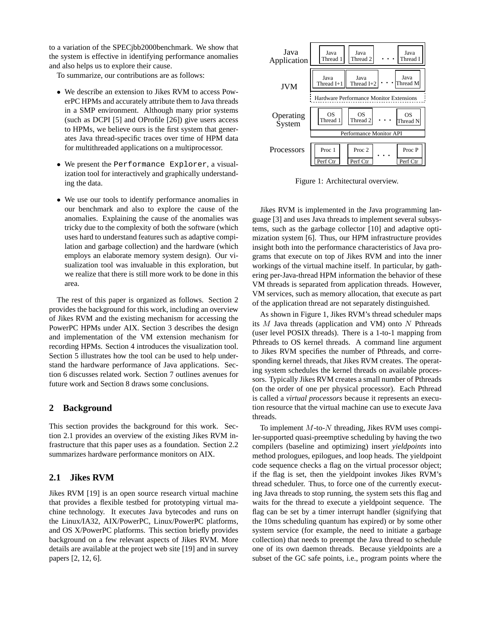to a variation of the SPECjbb2000benchmark. We show that the system is effective in identifying performance anomalies and also helps us to explore their cause.

To summarize, our contributions are as follows:

- We describe an extension to Jikes RVM to access PowerPC HPMs and accurately attribute them to Java threads in a SMP environment. Although many prior systems (such as DCPI [5] and OProfile [26]) give users access to HPMs, we believe ours is the first system that generates Java thread-specific traces over time of HPM data for multithreaded applications on a multiprocessor.
- We present the Performance Explorer, a visualization tool for interactively and graphically understanding the data.
- We use our tools to identify performance anomalies in our benchmark and also to explore the cause of the anomalies. Explaining the cause of the anomalies was tricky due to the complexity of both the software (which uses hard to understand features such as adaptive compilation and garbage collection) and the hardware (which employs an elaborate memory system design). Our visualization tool was invaluable in this exploration, but we realize that there is still more work to be done in this area.

The rest of this paper is organized as follows. Section 2 provides the background for this work, including an overview of Jikes RVM and the existing mechanism for accessing the PowerPC HPMs under AIX. Section 3 describes the design and implementation of the VM extension mechanism for recording HPMs. Section 4 introduces the visualization tool. Section 5 illustrates how the tool can be used to help understand the hardware performance of Java applications. Section 6 discusses related work. Section 7 outlines avenues for future work and Section 8 draws some conclusions.

# **2 Background**

This section provides the background for this work. Section 2.1 provides an overview of the existing Jikes RVM infrastructure that this paper uses as a foundation. Section 2.2 summarizes hardware performance monitors on AIX.

# **2.1 Jikes RVM**

Jikes RVM [19] is an open source research virtual machine that provides a flexible testbed for prototyping virtual machine technology. It executes Java bytecodes and runs on the Linux/IA32, AIX/PowerPC, Linux/PowerPC platforms, and OS X/PowerPC platforms. This section briefly provides background on a few relevant aspects of Jikes RVM. More details are available at the project web site [19] and in survey papers [2, 12, 6].



Figure 1: Architectural overview.

Jikes RVM is implemented in the Java programming language [3] and uses Java threads to implement several subsystems, such as the garbage collector [10] and adaptive optimization system [6]. Thus, our HPM infrastructure provides insight both into the performance characteristics of Java programs that execute on top of Jikes RVM and into the inner workings of the virtual machine itself. In particular, by gathering per-Java-thread HPM information the behavior of these VM threads is separated from application threads. However, VM services, such as memory allocation, that execute as part of the application thread are not separately distinguished.

As shown in Figure 1, Jikes RVM's thread scheduler maps its  $M$  Java threads (application and VM) onto  $N$  Pthreads (user level POSIX threads). There is a 1-to-1 mapping from Pthreads to OS kernel threads. A command line argument to Jikes RVM specifies the number of Pthreads, and corresponding kernel threads, that Jikes RVM creates. The operating system schedules the kernel threads on available processors. Typically Jikes RVM creates a small number of Pthreads (on the order of one per physical processor). Each Pthread is called a *virtual processors* because it represents an execution resource that the virtual machine can use to execute Java threads.

To implement  $M$ -to- $N$  threading, Jikes RVM uses compiler-supported quasi-preemptive scheduling by having the two compilers (baseline and optimizing) insert *yieldpoints* into method prologues, epilogues, and loop heads. The yieldpoint code sequence checks a flag on the virtual processor object; if the flag is set, then the yieldpoint invokes Jikes RVM's thread scheduler. Thus, to force one of the currently executing Java threads to stop running, the system sets this flag and waits for the thread to execute a yieldpoint sequence. The flag can be set by a timer interrupt handler (signifying that the 10ms scheduling quantum has expired) or by some other system service (for example, the need to initiate a garbage collection) that needs to preempt the Java thread to schedule one of its own daemon threads. Because yieldpoints are a subset of the GC safe points, i.e., program points where the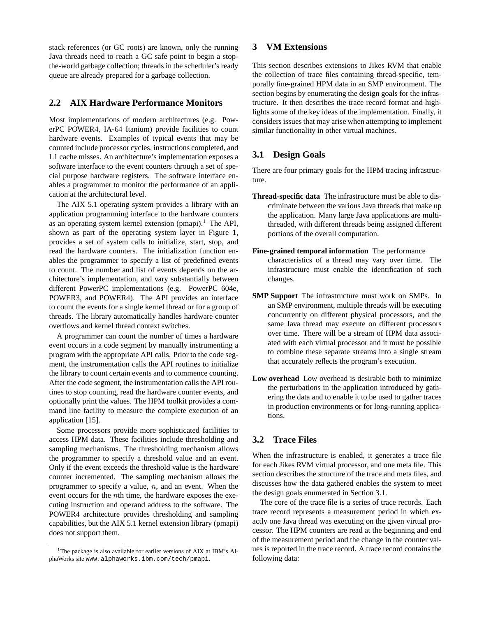stack references (or GC roots) are known, only the running Java threads need to reach a GC safe point to begin a stopthe-world garbage collection; threads in the scheduler's ready queue are already prepared for a garbage collection.

# **2.2 AIX Hardware Performance Monitors**

Most implementations of modern architectures (e.g. PowerPC POWER4, IA-64 Itanium) provide facilities to count hardware events. Examples of typical events that may be counted include processor cycles, instructions completed, and L1 cache misses. An architecture's implementation exposes a software interface to the event counters through a set of special purpose hardware registers. The software interface enables a programmer to monitor the performance of an application at the architectural level.

The AIX 5.1 operating system provides a library with an application programming interface to the hardware counters as an operating system kernel extension (pmapi).<sup>1</sup> The API, shown as part of the operating system layer in Figure 1, provides a set of system calls to initialize, start, stop, and read the hardware counters. The initialization function enables the programmer to specify a list of predefined events to count. The number and list of events depends on the architecture's implementation, and vary substantially between different PowerPC implementations (e.g. PowerPC 604e, POWER3, and POWER4). The API provides an interface to count the events for a single kernel thread or for a group of threads. The library automatically handles hardware counter overflows and kernel thread context switches.

A programmer can count the number of times a hardware event occurs in a code segment by manually instrumenting a program with the appropriate API calls. Prior to the code segment, the instrumentation calls the API routines to initialize the library to count certain events and to commence counting. After the code segment, the instrumentation calls the API routines to stop counting, read the hardware counter events, and optionally print the values. The HPM toolkit provides a command line facility to measure the complete execution of an application [15].

Some processors provide more sophisticated facilities to access HPM data. These facilities include thresholding and sampling mechanisms. The thresholding mechanism allows the programmer to specify a threshold value and an event. Only if the event exceeds the threshold value is the hardware counter incremented. The sampling mechanism allows the programmer to specify a value,  $n$ , and an event. When the event occurs for the *n*th time, the hardware exposes the executing instruction and operand address to the software. The POWER4 architecture provides thresholding and sampling capabilities, but the AIX 5.1 kernel extension library (pmapi) does not support them.

# **3 VM Extensions**

This section describes extensions to Jikes RVM that enable the collection of trace files containing thread-specific, temporally fine-grained HPM data in an SMP environment. The section begins by enumerating the design goals for the infrastructure. It then describes the trace record format and highlights some of the key ideas of the implementation. Finally, it considers issues that may arise when attempting to implement similar functionality in other virtual machines.

# **3.1 Design Goals**

There are four primary goals for the HPM tracing infrastructure.

- **Thread-specific data** The infrastructure must be able to discriminate between the various Java threads that make up the application. Many large Java applications are multithreaded, with different threads being assigned different portions of the overall computation.
- **Fine-grained temporal information** The performance characteristics of a thread may vary over time. The infrastructure must enable the identification of such changes.
- **SMP Support** The infrastructure must work on SMPs. In an SMP environment, multiple threads will be executing concurrently on different physical processors, and the same Java thread may execute on different processors over time. There will be a stream of HPM data associated with each virtual processor and it must be possible to combine these separate streams into a single stream that accurately reflects the program's execution.
- **Low overhead** Low overhead is desirable both to minimize the perturbations in the application introduced by gathering the data and to enable it to be used to gather traces in production environments or for long-running applications.

# **3.2 Trace Files**

When the infrastructure is enabled, it generates a trace file for each Jikes RVM virtual processor, and one meta file. This section describes the structure of the trace and meta files, and discusses how the data gathered enables the system to meet the design goals enumerated in Section 3.1.

The core of the trace file is a series of trace records. Each trace record represents a measurement period in which exactly one Java thread was executing on the given virtual processor. The HPM counters are read at the beginning and end of the measurement period and the change in the counter values is reported in the trace record. A trace record contains the following data:

<sup>&</sup>lt;sup>1</sup>The package is also available for earlier versions of AIX at IBM's AlphaWorks site www.alphaworks.ibm.com/tech/pmapi.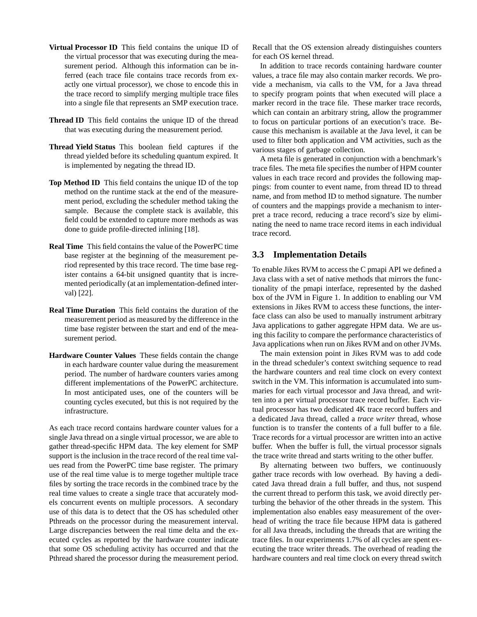- **Virtual Processor ID** This field contains the unique ID of the virtual processor that was executing during the measurement period. Although this information can be inferred (each trace file contains trace records from exactly one virtual processor), we chose to encode this in the trace record to simplify merging multiple trace files into a single file that represents an SMP execution trace.
- **Thread ID** This field contains the unique ID of the thread that was executing during the measurement period.
- **Thread Yield Status** This boolean field captures if the thread yielded before its scheduling quantum expired. It is implemented by negating the thread ID.
- **Top Method ID** This field contains the unique ID of the top method on the runtime stack at the end of the measurement period, excluding the scheduler method taking the sample. Because the complete stack is available, this field could be extended to capture more methods as was done to guide profile-directed inlining [18].
- **Real Time** This field contains the value of the PowerPC time base register at the beginning of the measurement period represented by this trace record. The time base register contains a 64-bit unsigned quantity that is incremented periodically (at an implementation-defined interval) [22].
- **Real Time Duration** This field contains the duration of the measurement period as measured by the difference in the time base register between the start and end of the measurement period.
- **Hardware Counter Values** These fields contain the change in each hardware counter value during the measurement period. The number of hardware counters varies among different implementations of the PowerPC architecture. In most anticipated uses, one of the counters will be counting cycles executed, but this is not required by the infrastructure.

As each trace record contains hardware counter values for a single Java thread on a single virtual processor, we are able to gather thread-specific HPM data. The key element for SMP support is the inclusion in the trace record of the real time values read from the PowerPC time base register. The primary use of the real time value is to merge together multiple trace files by sorting the trace records in the combined trace by the real time values to create a single trace that accurately models concurrent events on multiple processors. A secondary use of this data is to detect that the OS has scheduled other Pthreads on the processor during the measurement interval. Large discrepancies between the real time delta and the executed cycles as reported by the hardware counter indicate that some OS scheduling activity has occurred and that the Pthread shared the processor during the measurement period.

Recall that the OS extension already distinguishes counters for each OS kernel thread.

In addition to trace records containing hardware counter values, a trace file may also contain marker records. We provide a mechanism, via calls to the VM, for a Java thread to specify program points that when executed will place a marker record in the trace file. These marker trace records, which can contain an arbitrary string, allow the programmer to focus on particular portions of an execution's trace. Because this mechanism is available at the Java level, it can be used to filter both application and VM activities, such as the various stages of garbage collection.

A meta file is generated in conjunction with a benchmark's trace files. The meta file specifies the number of HPM counter values in each trace record and provides the following mappings: from counter to event name, from thread ID to thread name, and from method ID to method signature. The number of counters and the mappings provide a mechanism to interpret a trace record, reducing a trace record's size by eliminating the need to name trace record items in each individual trace record.

# **3.3 Implementation Details**

To enable Jikes RVM to access the C pmapi API we defined a Java class with a set of native methods that mirrors the functionality of the pmapi interface, represented by the dashed box of the JVM in Figure 1. In addition to enabling our VM extensions in Jikes RVM to access these functions, the interface class can also be used to manually instrument arbitrary Java applications to gather aggregate HPM data. We are using this facility to compare the performance characteristics of Java applications when run on Jikes RVM and on other JVMs.

The main extension point in Jikes RVM was to add code in the thread scheduler's context switching sequence to read the hardware counters and real time clock on every context switch in the VM. This information is accumulated into summaries for each virtual processor and Java thread, and written into a per virtual processor trace record buffer. Each virtual processor has two dedicated 4K trace record buffers and a dedicated Java thread, called a *trace writer* thread, whose function is to transfer the contents of a full buffer to a file. Trace records for a virtual processor are written into an active buffer. When the buffer is full, the virtual processor signals the trace write thread and starts writing to the other buffer.

By alternating between two buffers, we continuously gather trace records with low overhead. By having a dedicated Java thread drain a full buffer, and thus, not suspend the current thread to perform this task, we avoid directly perturbing the behavior of the other threads in the system. This implementation also enables easy measurement of the overhead of writing the trace file because HPM data is gathered for all Java threads, including the threads that are writing the trace files. In our experiments 1.7% of all cycles are spent executing the trace writer threads. The overhead of reading the hardware counters and real time clock on every thread switch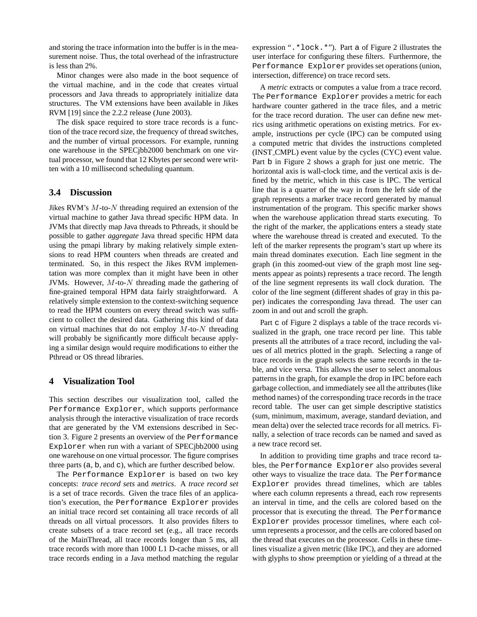and storing the trace information into the buffer is in the measurement noise. Thus, the total overhead of the infrastructure is less than 2%.

Minor changes were also made in the boot sequence of the virtual machine, and in the code that creates virtual processors and Java threads to appropriately initialize data structures. The VM extensions have been available in Jikes RVM [19] since the 2.2.2 release (June 2003).

The disk space required to store trace records is a function of the trace record size, the frequency of thread switches, and the number of virtual processors. For example, running one warehouse in the SPECjbb2000 benchmark on one virtual processor, we found that 12 Kbytes per second were written with a 10 millisecond scheduling quantum.

# **3.4 Discussion**

Jikes RVM's  $M$ -to- $N$  threading required an extension of the virtual machine to gather Java thread specific HPM data. In JVMs that directly map Java threads to Pthreads, it should be possible to gather *aggregate* Java thread specific HPM data using the pmapi library by making relatively simple extensions to read HPM counters when threads are created and terminated. So, in this respect the Jikes RVM implementation was more complex than it might have been in other JVMs. However,  $M$ -to- $N$  threading made the gathering of fine-grained temporal HPM data fairly straightforward. A relatively simple extension to the context-switching sequence to read the HPM counters on every thread switch was sufficient to collect the desired data. Gathering this kind of data on virtual machines that do not employ  $M$ -to- $N$  threading will probably be significantly more difficult because applying a similar design would require modifications to either the Pthread or OS thread libraries.

# **4 Visualization Tool**

This section describes our visualization tool, called the Performance Explorer, which supports performance analysis through the interactive visualization of trace records that are generated by the VM extensions described in Section 3. Figure 2 presents an overview of the Performance Explorer when run with a variant of SPECjbb2000 using one warehouse on one virtual processor. The figure comprises three parts (a, b, and c), which are further described below.

The Performance Explorer is based on two key concepts: *trace record sets* and *metrics*. A *trace record set* is a set of trace records. Given the trace files of an application's execution, the Performance Explorer provides an initial trace record set containing all trace records of all threads on all virtual processors. It also provides filters to create subsets of a trace record set (e.g., all trace records of the MainThread, all trace records longer than 5 ms, all trace records with more than 1000 L1 D-cache misses, or all trace records ending in a Java method matching the regular expression ".\*lock.\*"). Part a of Figure 2 illustrates the user interface for configuring these filters. Furthermore, the Performance Explorer provides set operations (union, intersection, difference) on trace record sets.

A *metric* extracts or computes a value from a trace record. The Performance Explorer provides a metric for each hardware counter gathered in the trace files, and a metric for the trace record duration. The user can define new metrics using arithmetic operations on existing metrics. For example, instructions per cycle (IPC) can be computed using a computed metric that divides the instructions completed (INST CMPL) event value by the cycles (CYC) event value. Part b in Figure 2 shows a graph for just one metric. The horizontal axis is wall-clock time, and the vertical axis is defined by the metric, which in this case is IPC. The vertical line that is a quarter of the way in from the left side of the graph represents a marker trace record generated by manual instrumentation of the program. This specific marker shows when the warehouse application thread starts executing. To the right of the marker, the applications enters a steady state where the warehouse thread is created and executed. To the left of the marker represents the program's start up where its main thread dominates execution. Each line segment in the graph (in this zoomed-out view of the graph most line segments appear as points) represents a trace record. The length of the line segment represents its wall clock duration. The color of the line segment (different shades of gray in this paper) indicates the corresponding Java thread. The user can zoom in and out and scroll the graph.

Part c of Figure 2 displays a table of the trace records visualized in the graph, one trace record per line. This table presents all the attributes of a trace record, including the values of all metrics plotted in the graph. Selecting a range of trace records in the graph selects the same records in the table, and vice versa. This allows the user to select anomalous patterns in the graph, for example the drop in IPC before each garbage collection, and immediately see all the attributes (like method names) of the corresponding trace records in the trace record table. The user can get simple descriptive statistics (sum, minimum, maximum, average, standard deviation, and mean delta) over the selected trace records for all metrics. Finally, a selection of trace records can be named and saved as a new trace record set.

In addition to providing time graphs and trace record tables, the Performance Explorer also provides several other ways to visualize the trace data. The Performance Explorer provides thread timelines, which are tables where each column represents a thread, each row represents an interval in time, and the cells are colored based on the processor that is executing the thread. The Performance Explorer provides processor timelines, where each column represents a processor, and the cells are colored based on the thread that executes on the processor. Cells in these timelines visualize a given metric (like IPC), and they are adorned with glyphs to show preemption or yielding of a thread at the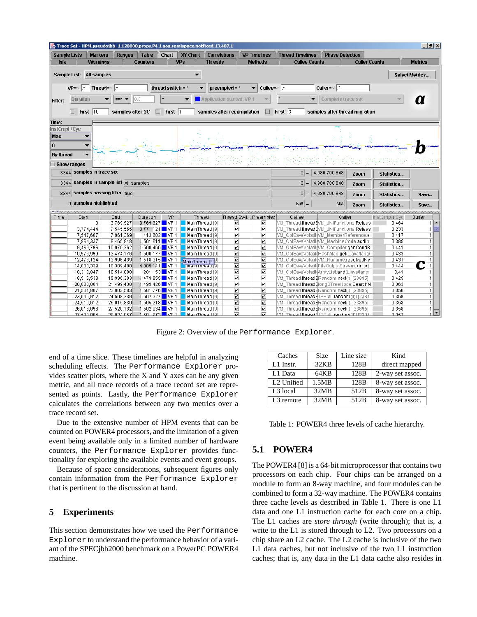| $-10x$<br>Trace Set - HPM.pseudojbb _1.120000.props.P4.1.aos.semispace.notfixed.13.407.1 - Trace Set -                                                          |                                                                                                                                          |                                         |                          |                                  |              |                                             |                                                    |                                                    |                                                                                               |                        |                      |                   |                |
|-----------------------------------------------------------------------------------------------------------------------------------------------------------------|------------------------------------------------------------------------------------------------------------------------------------------|-----------------------------------------|--------------------------|----------------------------------|--------------|---------------------------------------------|----------------------------------------------------|----------------------------------------------------|-----------------------------------------------------------------------------------------------|------------------------|----------------------|-------------------|----------------|
|                                                                                                                                                                 | <b>Sample Lists</b>                                                                                                                      | <b>Markers</b>                          | <b>Ranges</b>            | <b>Table</b>                     | Chart        | <b>XY Chart</b><br><b>Correlations</b>      |                                                    | <b>VP Timelines</b>                                | <b>Thread Timelines</b>                                                                       | <b>Phase Detection</b> |                      |                   |                |
| <b>Info</b>                                                                                                                                                     |                                                                                                                                          | <b>Warnings</b>                         |                          | <b>Counters</b>                  |              | VPs<br><b>Threads</b>                       |                                                    | <b>Methods</b>                                     | <b>Callee Counts</b>                                                                          |                        | <b>Caller Counts</b> |                   | <b>Metrics</b> |
|                                                                                                                                                                 |                                                                                                                                          |                                         |                          |                                  |              |                                             |                                                    |                                                    |                                                                                               |                        |                      |                   |                |
| <b>All samples</b><br>Sample List:<br><b>Select Metrics</b>                                                                                                     |                                                                                                                                          |                                         |                          |                                  |              |                                             |                                                    |                                                    |                                                                                               |                        |                      |                   |                |
| $VP = ~$<br>$\pm$<br>Thread= $~ $<br>$\star$<br>Caller= $\sim$  *<br>thread switch = $*$<br>preempted = $*$<br>Callee= $~\cdot~$ .*<br>$\overline{\phantom{a}}$ |                                                                                                                                          |                                         |                          |                                  |              |                                             |                                                    |                                                    |                                                                                               |                        |                      |                   |                |
|                                                                                                                                                                 |                                                                                                                                          |                                         |                          |                                  |              |                                             |                                                    |                                                    |                                                                                               |                        |                      |                   |                |
| Filter:                                                                                                                                                         | Duration                                                                                                                                 |                                         |                          | 10.0                             |              | ▼                                           | Application started, VP 1                          |                                                    |                                                                                               | Complete trace set     |                      |                   | a              |
|                                                                                                                                                                 |                                                                                                                                          |                                         |                          |                                  |              |                                             |                                                    |                                                    |                                                                                               |                        |                      |                   |                |
|                                                                                                                                                                 | $\Box$ First 10<br>$\Box$ First 3<br>$\Box$ First 1<br>samples after GC<br>samples after recompilation<br>samples after thread migration |                                         |                          |                                  |              |                                             |                                                    |                                                    |                                                                                               |                        |                      |                   |                |
| Time:                                                                                                                                                           |                                                                                                                                          |                                         |                          |                                  |              |                                             |                                                    |                                                    |                                                                                               |                        |                      |                   |                |
| InstCmpl / Cyc                                                                                                                                                  |                                                                                                                                          |                                         |                          |                                  |              |                                             |                                                    |                                                    |                                                                                               |                        |                      |                   |                |
| Max                                                                                                                                                             |                                                                                                                                          |                                         |                          |                                  |              |                                             |                                                    |                                                    |                                                                                               |                        |                      |                   |                |
| $\bf{0}$                                                                                                                                                        |                                                                                                                                          |                                         |                          |                                  |              |                                             |                                                    |                                                    |                                                                                               |                        |                      |                   |                |
| By thread                                                                                                                                                       |                                                                                                                                          |                                         |                          |                                  |              |                                             |                                                    |                                                    |                                                                                               |                        |                      |                   |                |
|                                                                                                                                                                 |                                                                                                                                          |                                         |                          |                                  |              |                                             |                                                    |                                                    |                                                                                               |                        |                      |                   |                |
|                                                                                                                                                                 | <b>Show ranges</b>                                                                                                                       |                                         |                          | stitic fastighted pasted         |              |                                             |                                                    |                                                    |                                                                                               |                        |                      |                   |                |
|                                                                                                                                                                 |                                                                                                                                          | 3344 samples in trace set               |                          |                                  |              |                                             |                                                    |                                                    | $0 -$                                                                                         | 4,980,700,848          | Zoom                 | <b>Statistics</b> |                |
|                                                                                                                                                                 |                                                                                                                                          | 3344 samples in sample list All samples |                          |                                  |              |                                             |                                                    |                                                    | $0 -$                                                                                         | 4,980,700,848          | Zoom                 | Statistics        |                |
|                                                                                                                                                                 |                                                                                                                                          |                                         |                          |                                  |              |                                             |                                                    |                                                    |                                                                                               |                        |                      |                   |                |
|                                                                                                                                                                 |                                                                                                                                          | 3344 samples passing filter true        |                          |                                  |              |                                             |                                                    |                                                    |                                                                                               | $0 - 4,980,700,848$    | Zoom                 | <b>Statistics</b> | Save           |
|                                                                                                                                                                 |                                                                                                                                          | n samples highlighted                   |                          |                                  |              |                                             |                                                    |                                                    | $N/A$                                                                                         | N/A                    | Zoom                 | <b>Statistics</b> | Save           |
|                                                                                                                                                                 |                                                                                                                                          |                                         |                          |                                  |              |                                             |                                                    |                                                    |                                                                                               |                        |                      |                   |                |
| Time                                                                                                                                                            | Start                                                                                                                                    |                                         | End                      | Duration                         | <b>VP</b>    | <b>Thread</b>                               | Thread Swit Preempted                              |                                                    | Callee                                                                                        | Caller                 |                      | InstCmpl / Cyc    | Buffer         |
|                                                                                                                                                                 |                                                                                                                                          | $\vert 0 \vert$                         | 3,769,927                | 3,769,927 VP 1                   |              | MainThread <sup>[9]</sup>                   | $\overline{\mathbf{v}}$                            | V                                                  | VM Thread.threadSVM JNIFunctions.Releas                                                       |                        |                      | 0.464             | $1 -$          |
|                                                                                                                                                                 |                                                                                                                                          | 3,774,444                               | 7,545,565                | $3,771,121$ VP 1                 |              | MainThread [9]                              | $\overline{\mathbf{v}}$                            | $\overline{\mathbf{v}}$                            | VM_Thread.thread9VM_JNIFunctions.Releas                                                       |                        |                      | 0.233             | 1              |
|                                                                                                                                                                 |                                                                                                                                          | 7,547,687                               | 7,961,369                |                                  | 413,682 VP 1 | MainThread [9]                              | $\overline{\mathbf{v}}$                            | $\overline{\mathbf{v}}$                            | VM OptSaveVolatileVM MemberReference.e                                                        |                        |                      | 0.417             | $\mathbf{1}$   |
|                                                                                                                                                                 |                                                                                                                                          | 7,964,337                               | 9,465,948                | $1,501,611$ VP 1                 |              | MainThread [9]                              | $\overline{\mathbf{v}}$                            | $\overline{\mathbf{v}}$                            | VM OptSaveVolatileVM MachineCode.addIn                                                        |                        |                      | 0.385             | $\mathbf{1}$   |
|                                                                                                                                                                 |                                                                                                                                          | 9,469,796                               | 10,970,262               | 1,500,466 VP 1                   |              | MainThread [9]                              | $\overline{\mathbf{v}}$                            | $\overline{\mathbf{v}}$                            | VM OptSaveVolatileVM Compiler.genCondB                                                        |                        |                      | 0.441             | $\mathbf{1}$   |
|                                                                                                                                                                 |                                                                                                                                          | 10,973,999                              | 12,474,176               | $1,500,177$ VP 1                 |              | MainThread <sup>[9]</sup>                   | $\overline{\mathbf{r}}$                            | $\overline{\mathbf{v}}$                            | VM_OptSaveVolatil(HashMap.get(Ljava/lang/                                                     |                        |                      | 0.433             |                |
|                                                                                                                                                                 |                                                                                                                                          | 12,478,124<br>14,000,339                | 13,996,439<br>18,309,480 | 1,518,315 VP 1<br>4,309,141 VP 1 |              | MainThread [9] <sup>[9]</sup>               | $\overline{\mathbf{r}}$<br>$\overline{\mathbf{v}}$ | $\overline{\mathbf{r}}$<br>$\overline{\mathbf{v}}$ | VM_OptSaveVolatil(VM_Runtime.resolvedNe<br>VM OptSaveVolatileFileOutputStream. <init>(</init> |                        |                      | 0.431<br>0.444    | C              |
|                                                                                                                                                                 |                                                                                                                                          | 18,312,847                              | 18,514,000               |                                  | 201,153 VP 1 | MainThread <sup>[9]</sup><br>MainThread [9] | $\overline{\mathbf{r}}$                            | $\overline{\mathbf{v}}$                            | VM_OptSaveVolatil(ArrayList.add(Ljava/lang/                                                   |                        |                      | 0.41              |                |
|                                                                                                                                                                 |                                                                                                                                          | 18,516,538                              | 19,996,393               | $1,479,855$ VP 1                 |              | MainThread [9]                              | $\overline{\mathbf{v}}$                            | $\overline{\mathbf{r}}$                            | VM Thread.thread9Random.next(I)I [23895]                                                      |                        |                      | 0.425             |                |
|                                                                                                                                                                 |                                                                                                                                          | 20,000,004                              | 21,499,430               | $1,499,426$ VP 1                 |              | MainThread [9]                              | $\overline{\mathbf{v}}$                            | $\overline{\mathbf{r}}$                            | VM Thread.thread9longBTreeNode.SearchN                                                        |                        |                      | 0.363             |                |
|                                                                                                                                                                 |                                                                                                                                          | 21,501,807                              | 23,003,583               | 1,501,776 VP 1                   |              | MainThread [9]                              | $\overline{\mathbf{v}}$                            | $\overline{\mathbf{v}}$                            | VM Thread.thread9Random.next(I)I [23895]                                                      |                        |                      | 0.356             |                |
|                                                                                                                                                                 |                                                                                                                                          | 23,005,912                              | 24,508,239               | $1,502,327$ VP 1                 |              | MainThread <sup>[9]</sup>                   | $\overline{\mathbf{v}}$                            | $\overline{\mathbf{v}}$                            | VM Thread.threadSJBButil.random(II)I [2384                                                    |                        |                      | 0.359             | 1              |
|                                                                                                                                                                 |                                                                                                                                          | 24,510,612                              | 26,015,830               | $1.505.218$ VP 1                 |              | MainThread [9]                              | $\overline{\mathbf{v}}$                            | $\overline{\mathbf{v}}$                            | VM Thread.thread9Random.next(I)I [23895]                                                      |                        |                      | 0.358             | $\mathbf{1}$   |
|                                                                                                                                                                 |                                                                                                                                          | 26,018,098                              | 27,520,132               | $1,502,034$ VP 1                 |              | MainThread <sup>[9]</sup>                   | $\overline{\mathbf{r}}$                            | $\overline{\mathbf{v}}$                            | VM Thread.thread9Random.next(I)I [23895]                                                      |                        |                      | 0.358             | 1              |
|                                                                                                                                                                 |                                                                                                                                          | 27.522.084                              | 29.024.057               |                                  |              | 1 501 073 VP 1 MainThread [0]               | $\overline{\mathbf{v}}$                            | $\overline{\mathbf{v}}$                            | VM Thread threads IRRutil rendom/IN [2384]                                                    |                        |                      | 0.357             |                |

Figure 2: Overview of the Performance Explorer.

end of a time slice. These timelines are helpful in analyzing scheduling effects. The Performance Explorer provides scatter plots, where the X and Y axes can be any given metric, and all trace records of a trace record set are represented as points. Lastly, the Performance Explorer calculates the correlations between any two metrics over a trace record set.

Due to the extensive number of HPM events that can be counted on POWER4 processors, and the limitation of a given event being available only in a limited number of hardware counters, the Performance Explorer provides functionality for exploring the available events and event groups.

Because of space considerations, subsequent figures only contain information from the Performance Explorer that is pertinent to the discussion at hand.

# **5 Experiments**

This section demonstrates how we used the Performance Explorer to understand the performance behavior of a variant of the SPECjbb2000 benchmark on a PowerPC POWER4 machine.

| Caches                 | <b>Size</b> | Line size        | Kind             |
|------------------------|-------------|------------------|------------------|
| L1 Instr.              | 32KB        | 128B             | direct mapped    |
| L1 Data                | 64KB        | 128B             | 2-way set assoc. |
| L <sub>2</sub> Unified | 1.5MB       | 128 <sub>B</sub> | 8-way set assoc. |
| L <sub>3</sub> local   | 32MB        | 512 <sub>B</sub> | 8-way set assoc. |
| L <sub>3</sub> remote  | 32MB        | 512B             | 8-way set assoc. |

Table 1: POWER4 three levels of cache hierarchy.

# **5.1 POWER4**

The POWER4 [8] is a 64-bit microprocessor that contains two processors on each chip. Four chips can be arranged on a module to form an 8-way machine, and four modules can be combined to form a 32-way machine. The POWER4 contains three cache levels as described in Table 1. There is one L1 data and one L1 instruction cache for each core on a chip. The L1 caches are *store through* (write through); that is, a write to the L1 is stored through to L2. Two processors on a chip share an L2 cache. The L2 cache is inclusive of the two L1 data caches, but not inclusive of the two L1 instruction caches; that is, any data in the L1 data cache also resides in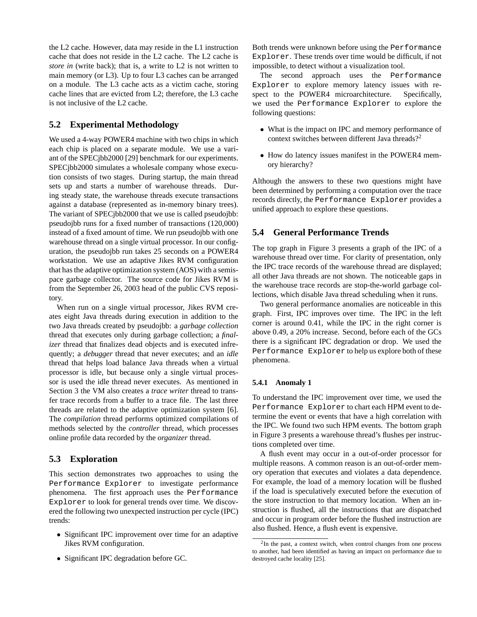the L2 cache. However, data may reside in the L1 instruction cache that does not reside in the L2 cache. The L2 cache is *store in* (write back); that is, a write to L2 is not written to main memory (or L3). Up to four L3 caches can be arranged on a module. The L3 cache acts as a victim cache, storing cache lines that are evicted from L2; therefore, the L3 cache is not inclusive of the L2 cache.

# **5.2 Experimental Methodology**

We used a 4-way POWER4 machine with two chips in which each chip is placed on a separate module. We use a variant of the SPECjbb2000 [29] benchmark for our experiments. SPECjbb2000 simulates a wholesale company whose execution consists of two stages. During startup, the main thread sets up and starts a number of warehouse threads. During steady state, the warehouse threads execute transactions against a database (represented as in-memory binary trees). The variant of SPECjbb2000 that we use is called pseudojbb: pseudojbb runs for a fixed number of transactions (120,000) instead of a fixed amount of time. We run pseudojbb with one warehouse thread on a single virtual processor. In our configuration, the pseudojbb run takes 25 seconds on a POWER4 workstation. We use an adaptive Jikes RVM configuration that has the adaptive optimization system (AOS) with a semispace garbage collector. The source code for Jikes RVM is from the September 26, 2003 head of the public CVS repository.

When run on a single virtual processor, Jikes RVM creates eight Java threads during execution in addition to the two Java threads created by pseudojbb: a *garbage collection* thread that executes only during garbage collection; a *finalizer* thread that finalizes dead objects and is executed infrequently; a *debugger* thread that never executes; and an *idle* thread that helps load balance Java threads when a virtual processor is idle, but because only a single virtual processor is used the idle thread never executes. As mentioned in Section 3 the VM also creates a *trace writer* thread to transfer trace records from a buffer to a trace file. The last three threads are related to the adaptive optimization system [6]. The *compilation* thread performs optimized compilations of methods selected by the *controller* thread, which processes online profile data recorded by the *organizer* thread.

# **5.3 Exploration**

This section demonstrates two approaches to using the Performance Explorer to investigate performance phenomena. The first approach uses the Performance Explorer to look for general trends over time. We discovered the following two unexpected instruction per cycle (IPC) trends:

- Significant IPC improvement over time for an adaptive Jikes RVM configuration.
- Significant IPC degradation before GC.

Both trends were unknown before using the Performance Explorer. These trends over time would be difficult, if not impossible, to detect without a visualization tool.

The second approach uses the Performance Explorer to explore memory latency issues with respect to the POWER4 microarchitecture. Specifically, we used the Performance Explorer to explore the following questions:

- What is the impact on IPC and memory performance of context switches between different Java threads?<sup>2</sup>
- How do latency issues manifest in the POWER4 memory hierarchy?

Although the answers to these two questions might have been determined by performing a computation over the trace records directly, the Performance Explorer provides a unified approach to explore these questions.

# **5.4 General Performance Trends**

The top graph in Figure 3 presents a graph of the IPC of a warehouse thread over time. For clarity of presentation, only the IPC trace records of the warehouse thread are displayed; all other Java threads are not shown. The noticeable gaps in the warehouse trace records are stop-the-world garbage collections, which disable Java thread scheduling when it runs.

Two general performance anomalies are noticeable in this graph. First, IPC improves over time. The IPC in the left corner is around 0.41, while the IPC in the right corner is above 0.49, a 20% increase. Second, before each of the GCs there is a significant IPC degradation or drop. We used the Performance Explorer to help us explore both of these phenomena.

#### **5.4.1 Anomaly 1**

To understand the IPC improvement over time, we used the Performance Explorer to chart each HPM event to determine the event or events that have a high correlation with the IPC. We found two such HPM events. The bottom graph in Figure 3 presents a warehouse thread's flushes per instructions completed over time.

A flush event may occur in a out-of-order processor for multiple reasons. A common reason is an out-of-order memory operation that executes and violates a data dependence. For example, the load of a memory location will be flushed if the load is speculatively executed before the execution of the store instruction to that memory location. When an instruction is flushed, all the instructions that are dispatched and occur in program order before the flushed instruction are also flushed. Hence, a flush event is expensive.

 $2$ In the past, a context switch, when control changes from one process to another, had been identified as having an impact on performance due to destroyed cache locality [25].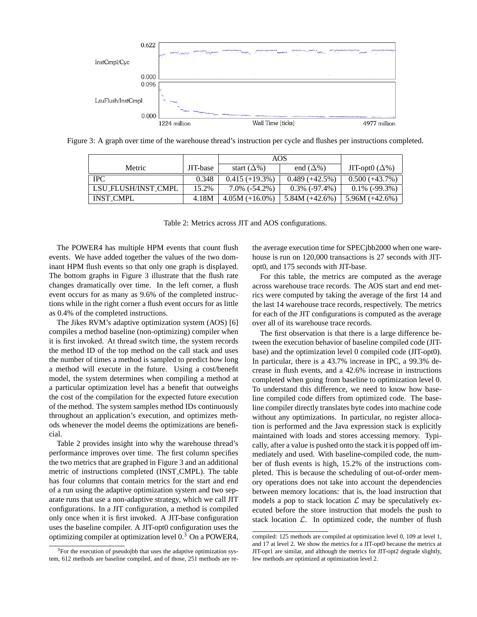

Figure 3: A graph over time of the warehouse thread's instruction per cycle and flushes per instructions completed.

|                     |          | AOS                   |                  |                       |
|---------------------|----------|-----------------------|------------------|-----------------------|
| Metric              | JIT-base | start $(\Delta\%)$    | end $(\Delta\%)$ | JIT-opt0 $(\Delta\%)$ |
| <b>IPC</b>          | 0.348    | $0.415 (+19.3%)$      | $0.489 (+42.5%)$ | $0.500 (+43.7%)$      |
| LSU_FLUSH/INST_CMPL | 15.2%    | $7.0\%$ ( $-54.2\%$ ) | $0.3\%$ (-97.4%) | $0.1\%$ (-99.3%)      |
| <b>INST CMPL</b>    | 4.18M    | $4.05M (+16.0\%)$     | 5.84M $(+42.6%)$ | 5.96M $(+42.6%)$      |

Table 2: Metrics across JIT and AOS configurations.

The POWER4 has multiple HPM events that count flush events. We have added together the values of the two dominant HPM flush events so that only one graph is displayed. The bottom graphs in Figure 3 illustrate that the flush rate changes dramatically over time. In the left corner, a flush event occurs for as many as 9.6% of the completed instructions while in the right corner a flush event occurs for as little as 0.4% of the completed instructions.

The Jikes RVM's adaptive optimization system (AOS) [6] compiles a method baseline (non-optimizing) compiler when it is first invoked. At thread switch time, the system records the method ID of the top method on the call stack and uses the number of times a method is sampled to predict how long a method will execute in the future. Using a cost/benefit model, the system determines when compiling a method at a particular optimization level has a benefit that outweighs the cost of the compilation for the expected future execution of the method. The system samples method IDs continuously throughout an application's execution, and optimizes methods whenever the model deems the optimizations are beneficial.

Table 2 provides insight into why the warehouse thread's performance improves over time. The first column specifies the two metrics that are graphed in Figure 3 and an additional metric of instructions completed (INST CMPL). The table has four columns that contain metrics for the start and end of a run using the adaptive optimization system and two separate runs that use a non-adaptive strategy, which we call JIT configurations. In a JIT configuration, a method is compiled only once when it is first invoked. A JIT-base configuration uses the baseline compiler. A JIT-opt0 configuration uses the optimizing compiler at optimization level  $0<sup>3</sup>$  On a POWER4,

the average execution time for SPECjbb2000 when one warehouse is run on 120,000 transactions is 27 seconds with JITopt0, and 175 seconds with JIT-base.

For this table, the metrics are computed as the average across warehouse trace records. The AOS start and end metrics were computed by taking the average of the first 14 and the last 14 warehouse trace records, respectively. The metrics for each of the JIT configurations is computed as the average over all of its warehouse trace records.

The first observation is that there is a large difference between the execution behavior of baseline compiled code (JITbase) and the optimization level 0 compiled code (JIT-opt0). In particular, there is a 43.7% increase in IPC, a 99.3% decrease in flush events, and a 42.6% increase in instructions completed when going from baseline to optimization level 0. To understand this difference, we need to know how baseline compiled code differs from optimized code. The baseline compiler directly translates byte codes into machine code without any optimizations. In particular, no register allocation is performed and the Java expression stack is explicitly maintained with loads and stores accessing memory. Typically, after a value is pushed onto the stack it is popped off immediately and used. With baseline-compiled code, the number of flush events is high, 15.2% of the instructions completed. This is because the scheduling of out-of-order memory operations does not take into account the dependencies between memory locations: that is, the load instruction that models a pop to stack location  $\mathcal L$  may be speculatively executed before the store instruction that models the push to stack location  $\mathcal{L}$ . In optimized code, the number of flush

 $3$ For the execution of pseudojbb that uses the adaptive optimization system, 612 methods are baseline compiled, and of those, 251 methods are re-

compiled: 125 methods are compiled at optimization level 0, 109 at level 1, and 17 at level 2. We show the metrics for a JIT-opt0 because the metrics at JIT-opt1 are similar, and although the metrics for JIT-opt2 degrade slightly, few methods are optimized at optimization level 2.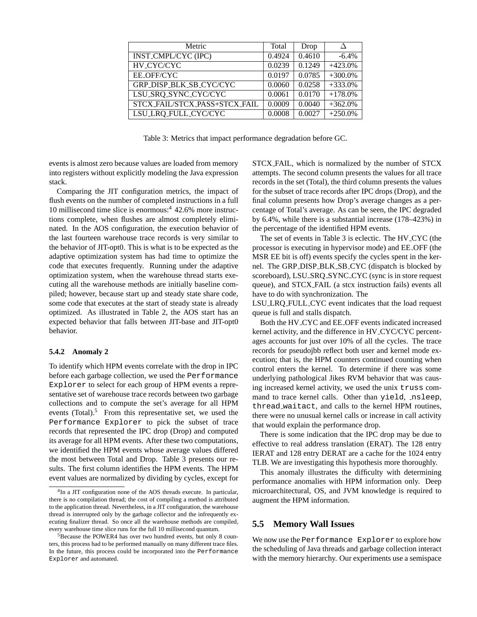| Metric                         | Total  | Drop   |            |
|--------------------------------|--------|--------|------------|
| INST_CMPL/CYC (IPC)            | 0.4924 | 0.4610 | $-6.4%$    |
| HV_CYC/CYC                     | 0.0239 | 0.1249 | $+423.0%$  |
| <b>EE OFF/CYC</b>              | 0.0197 | 0.0785 | $+300.0\%$ |
| <b>GRP DISP BLK SB CYC/CYC</b> | 0.0060 | 0.0258 | $+333.0%$  |
| LSU_SRQ_SYNC_CYC/CYC           | 0.0061 | 0.0170 | $+178.0%$  |
| STCX_FAIL/STCX_PASS+STCX_FAIL  | 0.0009 | 0.0040 | $+362.0%$  |
| LSU_LRQ_FULL_CYC/CYC           | 0.0008 | 0.0027 | $+250.0%$  |

Table 3: Metrics that impact performance degradation before GC.

events is almost zero because values are loaded from memory into registers without explicitly modeling the Java expression stack.

Comparing the JIT configuration metrics, the impact of flush events on the number of completed instructions in a full 10 millisecond time slice is enormous:<sup>4</sup> 42.6% more instructions complete, when flushes are almost completely eliminated. In the AOS configuration, the execution behavior of the last fourteen warehouse trace records is very similar to the behavior of JIT-opt0. This is what is to be expected as the adaptive optimization system has had time to optimize the code that executes frequently. Running under the adaptive optimization system, when the warehouse thread starts executing all the warehouse methods are initially baseline compiled; however, because start up and steady state share code, some code that executes at the start of steady state is already optimized. As illustrated in Table 2, the AOS start has an expected behavior that falls between JIT-base and JIT-opt0 behavior.

#### **5.4.2 Anomaly 2**

To identify which HPM events correlate with the drop in IPC before each garbage collection, we used the Performance Explorer to select for each group of HPM events a representative set of warehouse trace records between two garbage collections and to compute the set's average for all HPM events  $(Total)$ <sup>5</sup>. From this representative set, we used the Performance Explorer to pick the subset of trace records that represented the IPC drop (Drop) and computed its average for all HPM events. After these two computations, we identified the HPM events whose average values differed the most between Total and Drop. Table 3 presents our results. The first column identifies the HPM events. The HPM event values are normalized by dividing by cycles, except for STCX FAIL, which is normalized by the number of STCX attempts. The second column presents the values for all trace records in the set (Total), the third column presents the values for the subset of trace records after IPC drops (Drop), and the final column presents how Drop's average changes as a percentage of Total's average. As can be seen, the IPC degraded by 6.4%, while there is a substantial increase (178–423%) in the percentage of the identified HPM events.

The set of events in Table 3 is eclectic. The HV CYC (the processor is executing in hypervisor mode) and EE OFF (the MSR EE bit is off) events specify the cycles spent in the kernel. The GRP DISP BLK SB CYC (dispatch is blocked by scoreboard), LSU\_SRQ\_SYNC\_CYC (sync is in store request queue), and STCX FAIL (a stcx instruction fails) events all have to do with synchronization. The

LSU LRQ FULL CYC event indicates that the load request queue is full and stalls dispatch.

Both the HV CYC and EE OFF events indicated increased kernel activity, and the difference in HV CYC/CYC percentages accounts for just over 10% of all the cycles. The trace records for pseudojbb reflect both user and kernel mode execution; that is, the HPM counters continued counting when control enters the kernel. To determine if there was some underlying pathological Jikes RVM behavior that was causing increased kernel activity, we used the unix truss command to trace kernel calls. Other than yield, nsleep, thread waitact, and calls to the kernel HPM routines, there were no unusual kernel calls or increase in call activity that would explain the performance drop.

There is some indication that the IPC drop may be due to effective to real address translation (ERAT). The 128 entry IERAT and 128 entry DERAT are a cache for the 1024 entry TLB. We are investigating this hypothesis more thoroughly.

This anomaly illustrates the difficulty with determining performance anomalies with HPM information only. Deep microarchitectural, OS, and JVM knowledge is required to augment the HPM information.

#### **5.5 Memory Wall Issues**

We now use the Performance Explorer to explore how the scheduling of Java threads and garbage collection interact with the memory hierarchy. Our experiments use a semispace

<sup>4</sup> In a JIT configuration none of the AOS threads execute. In particular, there is no compilation thread; the cost of compiling a method is attributed to the application thread. Nevertheless, in a JIT configuration, the warehouse thread is interrupted only by the garbage collector and the infrequently executing finalizer thread. So once all the warehouse methods are compiled, every warehouse time slice runs for the full 10 millisecond quantum.

<sup>5</sup>Because the POWER4 has over two hundred events, but only 8 counters, this process had to be performed manually on many different trace files. In the future, this process could be incorporated into the Performance Explorer and automated.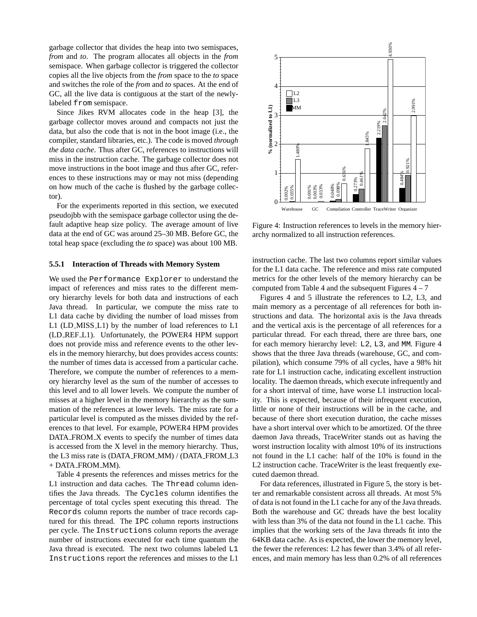garbage collector that divides the heap into two semispaces, *from* and *to*. The program allocates all objects in the *from* semispace. When garbage collector is triggered the collector copies all the live objects from the *from* space to the *to* space and switches the role of the *from* and *to* spaces. At the end of GC, all the live data is contiguous at the start of the newlylabeled from semispace.

Since Jikes RVM allocates code in the heap [3], the garbage collector moves around and compacts not just the data, but also the code that is not in the boot image (i.e., the compiler, standard libraries, etc.). The code is moved *through the data cache*. Thus after GC, references to instructions will miss in the instruction cache. The garbage collector does not move instructions in the boot image and thus after GC, references to these instructions may or may not miss (depending on how much of the cache is flushed by the garbage collector).

For the experiments reported in this section, we executed pseudojbb with the semispace garbage collector using the default adaptive heap size policy. The average amount of live data at the end of GC was around 25–30 MB. Before GC, the total heap space (excluding the *to* space) was about 100 MB.

#### **5.5.1 Interaction of Threads with Memory System**

We used the Performance Explorer to understand the impact of references and miss rates to the different memory hierarchy levels for both data and instructions of each Java thread. In particular, we compute the miss rate to L1 data cache by dividing the number of load misses from L1 (LD MISS L1) by the number of load references to L1 (LD REF L1). Unfortunately, the POWER4 HPM support does not provide miss and reference events to the other levels in the memory hierarchy, but does provides access counts: the number of times data is accessed from a particular cache. Therefore, we compute the number of references to a memory hierarchy level as the sum of the number of accesses to this level and to all lower levels. We compute the number of misses at a higher level in the memory hierarchy as the summation of the references at lower levels. The miss rate for a particular level is computed as the misses divided by the references to that level. For example, POWER4 HPM provides DATA FROM X events to specify the number of times data is accessed from the X level in the memory hierarchy. Thus, the L3 miss rate is (DATA\_FROM\_MM) / (DATA\_FROM\_L3 + DATA FROM MM).

Table 4 presents the references and misses metrics for the L1 instruction and data caches. The Thread column identifies the Java threads. The Cycles column identifies the percentage of total cycles spent executing this thread. The Records column reports the number of trace records captured for this thread. The IPC column reports instructions per cycle. The Instructions column reports the average number of instructions executed for each time quantum the Java thread is executed. The next two columns labeled L1 Instructions report the references and misses to the L1



Figure 4: Instruction references to levels in the memory hierarchy normalized to all instruction references.

instruction cache. The last two columns report similar values for the L1 data cache. The reference and miss rate computed metrics for the other levels of the memory hierarchy can be computed from Table 4 and the subsequent Figures  $4 - 7$ 

Figures 4 and 5 illustrate the references to L2, L3, and main memory as a percentage of all references for both instructions and data. The horizontal axis is the Java threads and the vertical axis is the percentage of all references for a particular thread. For each thread, there are three bars, one for each memory hierarchy level: L2, L3, and MM. Figure 4 shows that the three Java threads (warehouse, GC, and compilation), which consume 79% of all cycles, have a 98% hit rate for L1 instruction cache, indicating excellent instruction locality. The daemon threads, which execute infrequently and for a short interval of time, have worse L1 instruction locality. This is expected, because of their infrequent execution, little or none of their instructions will be in the cache, and because of there short execution duration, the cache misses have a short interval over which to be amortized. Of the three daemon Java threads, TraceWriter stands out as having the worst instruction locality with almost 10% of its instructions not found in the L1 cache: half of the 10% is found in the L2 instruction cache. TraceWriter is the least frequently executed daemon thread.

For data references, illustrated in Figure 5, the story is better and remarkable consistent across all threads. At most 5% of data is not found in the L1 cache for any of the Java threads. Both the warehouse and GC threads have the best locality with less than 3% of the data not found in the L1 cache. This implies that the working sets of the Java threads fit into the 64KB data cache. As is expected, the lower the memory level, the fewer the references: L2 has fewer than 3.4% of all references, and main memory has less than 0.2% of all references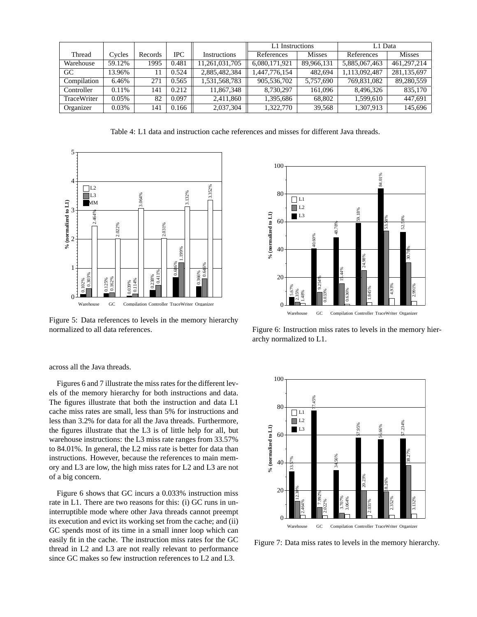|             |          |           |            |                | L1 Instructions |               | L1 Data       |               |
|-------------|----------|-----------|------------|----------------|-----------------|---------------|---------------|---------------|
| Thread      | Cycles   | Records   | <b>IPC</b> | Instructions   | References      | <b>Misses</b> | References    | <b>Misses</b> |
| Warehouse   | 59.12%   | 1995      | 0.481      | 11,261,031,705 | 6.080.171.921   | 89.966.131    | 5,885,067,463 | 461.297.214   |
| GC          | 13.96%   | $\vert$ 1 | 0.524      | 2,885,482,384  | 1,447,776,154   | 482.694       | 1,113,092,487 | 281,135,697   |
| Compilation | 6.46%    | 271       | 0.565      | 1,531,568,783  | 905,536,702     | 5.757.690     | 769.831.082   | 89.280.559    |
| Controller  | 0.11%    | 141       | 0.212      | 11.867.348     | 8.730.297       | 161.096       | 8.496.326     | 835,170       |
| TraceWriter | $0.05\%$ | 82        | 0.097      | 2.411.860      | 1.395.686       | 68,802        | 1.599.610     | 447.691       |
| Organizer   | 0.03%    | 141       | 0.166      | 2,037,304      | 1,322,770       | 39.568        | 1,307,913     | 145,696       |

Table 4: L1 data and instruction cache references and misses for different Java threads.



Figure 5: Data references to levels in the memory hierarchy normalized to all data references.



Figure 6: Instruction miss rates to levels in the memory hierarchy normalized to L1.

across all the Java threads.

Figures 6 and 7 illustrate the miss rates for the different levels of the memory hierarchy for both instructions and data. The figures illustrate that both the instruction and data L1 cache miss rates are small, less than 5% for instructions and less than 3.2% for data for all the Java threads. Furthermore, the figures illustrate that the L3 is of little help for all, but warehouse instructions: the L3 miss rate ranges from 33.57% to 84.01%. In general, the L2 miss rate is better for data than instructions. However, because the references to main memory and L3 are low, the high miss rates for L2 and L3 are not of a big concern.

Figure 6 shows that GC incurs a 0.033% instruction miss rate in L1. There are two reasons for this: (i) GC runs in uninterruptible mode where other Java threads cannot preempt its execution and evict its working set from the cache; and (ii) GC spends most of its time in a small inner loop which can easily fit in the cache. The instruction miss rates for the GC thread in L2 and L3 are not really relevant to performance since GC makes so few instruction references to L2 and L3.



Figure 7: Data miss rates to levels in the memory hierarchy.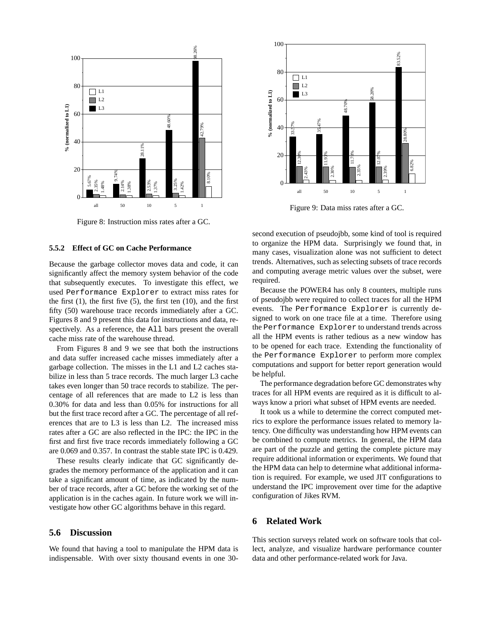

Figure 8: Instruction miss rates after a GC.

#### **5.5.2 Effect of GC on Cache Performance**

Because the garbage collector moves data and code, it can significantly affect the memory system behavior of the code that subsequently executes. To investigate this effect, we used Performance Explorer to extract miss rates for the first  $(1)$ , the first five  $(5)$ , the first ten  $(10)$ , and the first fifty (50) warehouse trace records immediately after a GC. Figures 8 and 9 present this data for instructions and data, respectively. As a reference, the All bars present the overall cache miss rate of the warehouse thread.

From Figures 8 and 9 we see that both the instructions and data suffer increased cache misses immediately after a garbage collection. The misses in the L1 and L2 caches stabilize in less than 5 trace records. The much larger L3 cache takes even longer than 50 trace records to stabilize. The percentage of all references that are made to L2 is less than 0.30% for data and less than 0.05% for instructions for all but the first trace record after a GC. The percentage of all references that are to L3 is less than L2. The increased miss rates after a GC are also reflected in the IPC: the IPC in the first and first five trace records immediately following a GC are 0.069 and 0.357. In contrast the stable state IPC is 0.429.

These results clearly indicate that GC significantly degrades the memory performance of the application and it can take a significant amount of time, as indicated by the number of trace records, after a GC before the working set of the application is in the caches again. In future work we will investigate how other GC algorithms behave in this regard.

# **5.6 Discussion**

We found that having a tool to manipulate the HPM data is indispensable. With over sixty thousand events in one 30-



Figure 9: Data miss rates after a GC.

second execution of pseudojbb, some kind of tool is required to organize the HPM data. Surprisingly we found that, in many cases, visualization alone was not sufficient to detect trends. Alternatives, such as selecting subsets of trace records and computing average metric values over the subset, were required.

Because the POWER4 has only 8 counters, multiple runs of pseudojbb were required to collect traces for all the HPM events. The Performance Explorer is currently designed to work on one trace file at a time. Therefore using the Performance Explorer to understand trends across all the HPM events is rather tedious as a new window has to be opened for each trace. Extending the functionality of the Performance Explorer to perform more complex computations and support for better report generation would be helpful.

The performance degradation before GC demonstrates why traces for all HPM events are required as it is difficult to always know a priori what subset of HPM events are needed.

It took us a while to determine the correct computed metrics to explore the performance issues related to memory latency. One difficulty was understanding how HPM events can be combined to compute metrics. In general, the HPM data are part of the puzzle and getting the complete picture may require additional information or experiments. We found that the HPM data can help to determine what additional information is required. For example, we used JIT configurations to understand the IPC improvement over time for the adaptive configuration of Jikes RVM.

#### **6 Related Work**

This section surveys related work on software tools that collect, analyze, and visualize hardware performance counter data and other performance-related work for Java.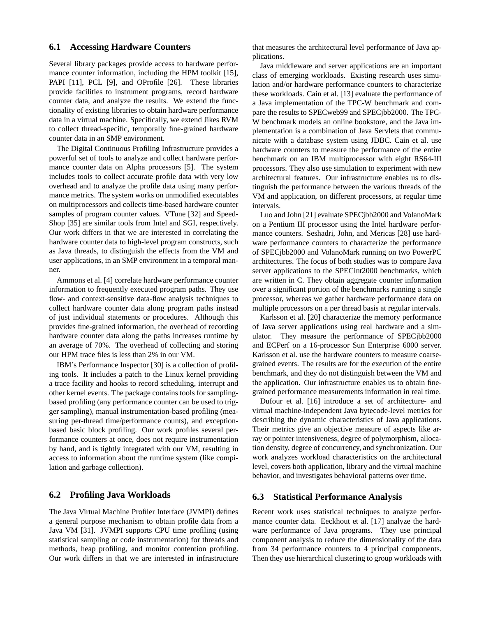#### **6.1 Accessing Hardware Counters**

Several library packages provide access to hardware performance counter information, including the HPM toolkit [15], PAPI [11], PCL [9], and OProfile [26]. These libraries provide facilities to instrument programs, record hardware counter data, and analyze the results. We extend the functionality of existing libraries to obtain hardware performance data in a virtual machine. Specifically, we extend Jikes RVM to collect thread-specific, temporally fine-grained hardware counter data in an SMP environment.

The Digital Continuous Profiling Infrastructure provides a powerful set of tools to analyze and collect hardware performance counter data on Alpha processors [5]. The system includes tools to collect accurate profile data with very low overhead and to analyze the profile data using many performance metrics. The system works on unmodified executables on multiprocessors and collects time-based hardware counter samples of program counter values. VTune [32] and Speed-Shop [35] are similar tools from Intel and SGI, respectively. Our work differs in that we are interested in correlating the hardware counter data to high-level program constructs, such as Java threads, to distinguish the effects from the VM and user applications, in an SMP environment in a temporal manner.

Ammons et al. [4] correlate hardware performance counter information to frequently executed program paths. They use flow- and context-sensitive data-flow analysis techniques to collect hardware counter data along program paths instead of just individual statements or procedures. Although this provides fine-grained information, the overhead of recording hardware counter data along the paths increases runtime by an average of 70%. The overhead of collecting and storing our HPM trace files is less than 2% in our VM.

IBM's Performance Inspector [30] is a collection of profiling tools. It includes a patch to the Linux kernel providing a trace facility and hooks to record scheduling, interrupt and other kernel events. The package contains tools for samplingbased profiling (any performance counter can be used to trigger sampling), manual instrumentation-based profiling (measuring per-thread time/performance counts), and exceptionbased basic block profiling. Our work profiles several performance counters at once, does not require instrumentation by hand, and is tightly integrated with our VM, resulting in access to information about the runtime system (like compilation and garbage collection).

#### **6.2 Profiling Java Workloads**

The Java Virtual Machine Profiler Interface (JVMPI) defines a general purpose mechanism to obtain profile data from a Java VM [31]. JVMPI supports CPU time profiling (using statistical sampling or code instrumentation) for threads and methods, heap profiling, and monitor contention profiling. Our work differs in that we are interested in infrastructure that measures the architectural level performance of Java applications.

Java middleware and server applications are an important class of emerging workloads. Existing research uses simulation and/or hardware performance counters to characterize these workloads. Cain et al. [13] evaluate the performance of a Java implementation of the TPC-W benchmark and compare the results to SPECweb99 and SPECjbb2000. The TPC-W benchmark models an online bookstore, and the Java implementation is a combination of Java Servlets that communicate with a database system using JDBC. Cain et al. use hardware counters to measure the performance of the entire benchmark on an IBM multiprocessor with eight RS64-III processors. They also use simulation to experiment with new architectural features. Our infrastructure enables us to distinguish the performance between the various threads of the VM and application, on different processors, at regular time intervals.

Luo and John [21] evaluate SPECjbb2000 and VolanoMark on a Pentium III processor using the Intel hardware performance counters. Seshadri, John, and Mericas [28] use hardware performance counters to characterize the performance of SPECjbb2000 and VolanoMark running on two PowerPC architectures. The focus of both studies was to compare Java server applications to the SPECint2000 benchmarks, which are written in C. They obtain aggregate counter information over a significant portion of the benchmarks running a single processor, whereas we gather hardware performance data on multiple processors on a per thread basis at regular intervals.

Karlsson et al. [20] characterize the memory performance of Java server applications using real hardware and a simulator. They measure the performance of SPECjbb2000 and ECPerf on a 16-processor Sun Enterprise 6000 server. Karlsson et al. use the hardware counters to measure coarsegrained events. The results are for the execution of the entire benchmark, and they do not distinguish between the VM and the application. Our infrastructure enables us to obtain finegrained performance measurements information in real time.

Dufour et al. [16] introduce a set of architecture- and virtual machine-independent Java bytecode-level metrics for describing the dynamic characteristics of Java applications. Their metrics give an objective measure of aspects like array or pointer intensiveness, degree of polymorphism, allocation density, degree of concurrency, and synchronization. Our work analyzes workload characteristics on the architectural level, covers both application, library and the virtual machine behavior, and investigates behavioral patterns over time.

#### **6.3 Statistical Performance Analysis**

Recent work uses statistical techniques to analyze performance counter data. Eeckhout et al. [17] analyze the hardware performance of Java programs. They use principal component analysis to reduce the dimensionality of the data from 34 performance counters to 4 principal components. Then they use hierarchical clustering to group workloads with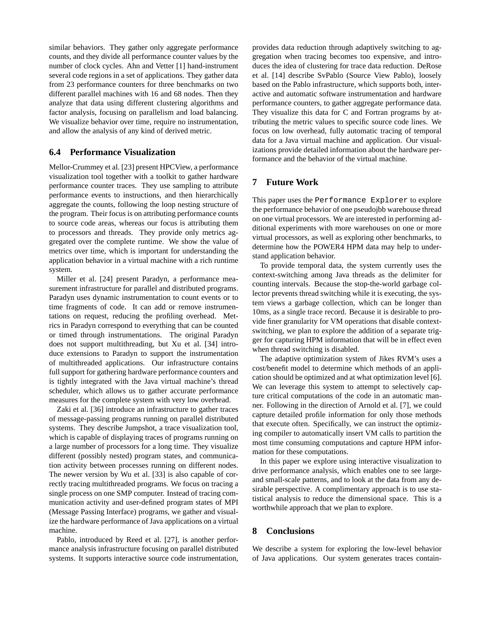similar behaviors. They gather only aggregate performance counts, and they divide all performance counter values by the number of clock cycles. Ahn and Vetter [1] hand-instrument several code regions in a set of applications. They gather data from 23 performance counters for three benchmarks on two different parallel machines with 16 and 68 nodes. Then they analyze that data using different clustering algorithms and factor analysis, focusing on parallelism and load balancing. We visualize behavior over time, require no instrumentation, and allow the analysis of any kind of derived metric.

#### **6.4 Performance Visualization**

Mellor-Crummey et al. [23] present HPCView, a performance visualization tool together with a toolkit to gather hardware performance counter traces. They use sampling to attribute performance events to instructions, and then hierarchically aggregate the counts, following the loop nesting structure of the program. Their focus is on attributing performance counts to source code areas, whereas our focus is attributing them to processors and threads. They provide only metrics aggregated over the complete runtime. We show the value of metrics over time, which is important for understanding the application behavior in a virtual machine with a rich runtime system.

Miller et al. [24] present Paradyn, a performance measurement infrastructure for parallel and distributed programs. Paradyn uses dynamic instrumentation to count events or to time fragments of code. It can add or remove instrumentations on request, reducing the profiling overhead. Metrics in Paradyn correspond to everything that can be counted or timed through instrumentations. The original Paradyn does not support multithreading, but Xu et al. [34] introduce extensions to Paradyn to support the instrumentation of multithreaded applications. Our infrastructure contains full support for gathering hardware performance counters and is tightly integrated with the Java virtual machine's thread scheduler, which allows us to gather accurate performance measures for the complete system with very low overhead.

Zaki et al. [36] introduce an infrastructure to gather traces of message-passing programs running on parallel distributed systems. They describe Jumpshot, a trace visualization tool, which is capable of displaying traces of programs running on a large number of processors for a long time. They visualize different (possibly nested) program states, and communication activity between processes running on different nodes. The newer version by Wu et al. [33] is also capable of correctly tracing multithreaded programs. We focus on tracing a single process on one SMP computer. Instead of tracing communication activity and user-defined program states of MPI (Message Passing Interface) programs, we gather and visualize the hardware performance of Java applications on a virtual machine.

Pablo, introduced by Reed et al. [27], is another performance analysis infrastructure focusing on parallel distributed systems. It supports interactive source code instrumentation, provides data reduction through adaptively switching to aggregation when tracing becomes too expensive, and introduces the idea of clustering for trace data reduction. DeRose et al. [14] describe SvPablo (Source View Pablo), loosely based on the Pablo infrastructure, which supports both, interactive and automatic software instrumentation and hardware performance counters, to gather aggregate performance data. They visualize this data for C and Fortran programs by attributing the metric values to specific source code lines. We focus on low overhead, fully automatic tracing of temporal data for a Java virtual machine and application. Our visualizations provide detailed information about the hardware performance and the behavior of the virtual machine.

# **7 Future Work**

This paper uses the Performance Explorer to explore the performance behavior of one pseudojbb warehouse thread on one virtual processors. We are interested in performing additional experiments with more warehouses on one or more virtual processors, as well as exploring other benchmarks, to determine how the POWER4 HPM data may help to understand application behavior.

To provide temporal data, the system currently uses the context-switching among Java threads as the delimiter for counting intervals. Because the stop-the-world garbage collector prevents thread switching while it is executing, the system views a garbage collection, which can be longer than 10ms, as a single trace record. Because it is desirable to provide finer granularity for VM operations that disable contextswitching, we plan to explore the addition of a separate trigger for capturing HPM information that will be in effect even when thread switching is disabled.

The adaptive optimization system of Jikes RVM's uses a cost/benefit model to determine which methods of an application should be optimized and at what optimization level [6]. We can leverage this system to attempt to selectively capture critical computations of the code in an automatic manner. Following in the direction of Arnold et al. [7], we could capture detailed profile information for only those methods that execute often. Specifically, we can instruct the optimizing compiler to automatically insert VM calls to partition the most time consuming computations and capture HPM information for these computations.

In this paper we explore using interactive visualization to drive performance analysis, which enables one to see largeand small-scale patterns, and to look at the data from any desirable perspective. A complimentary approach is to use statistical analysis to reduce the dimensional space. This is a worthwhile approach that we plan to explore.

# **8 Conclusions**

We describe a system for exploring the low-level behavior of Java applications. Our system generates traces contain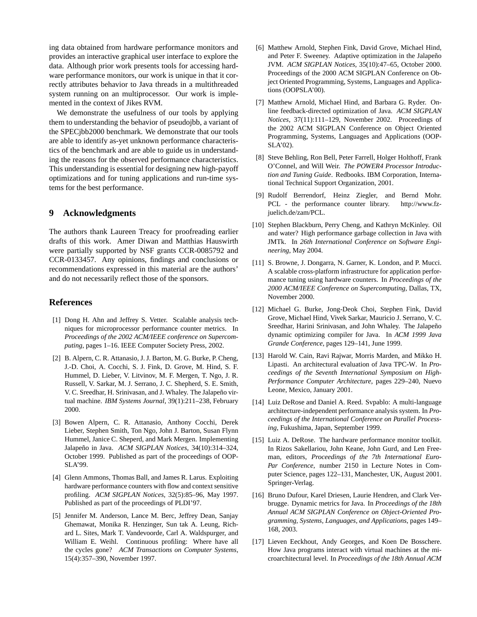ing data obtained from hardware performance monitors and provides an interactive graphical user interface to explore the data. Although prior work presents tools for accessing hardware performance monitors, our work is unique in that it correctly attributes behavior to Java threads in a multithreaded system running on an multiprocessor. Our work is implemented in the context of Jikes RVM.

We demonstrate the usefulness of our tools by applying them to understanding the behavior of pseudojbb, a variant of the SPECjbb2000 benchmark. We demonstrate that our tools are able to identify as-yet unknown performance characteristics of the benchmark and are able to guide us in understanding the reasons for the observed performance characteristics. This understanding is essential for designing new high-payoff optimizations and for tuning applications and run-time systems for the best performance.

#### **9 Acknowledgments**

The authors thank Laureen Treacy for proofreading earlier drafts of this work. Amer Diwan and Matthias Hauswirth were partially supported by NSF grants CCR-0085792 and CCR-0133457. Any opinions, findings and conclusions or recommendations expressed in this material are the authors' and do not necessarily reflect those of the sponsors.

#### **References**

- [1] Dong H. Ahn and Jeffrey S. Vetter. Scalable analysis techniques for microprocessor performance counter metrics. In *Proceedings of the 2002 ACM/IEEE conference on Supercomputing*, pages 1–16. IEEE Computer Society Press, 2002.
- [2] B. Alpern, C. R. Attanasio, J. J. Barton, M. G. Burke, P. Cheng, J.-D. Choi, A. Cocchi, S. J. Fink, D. Grove, M. Hind, S. F. Hummel, D. Lieber, V. Litvinov, M. F. Mergen, T. Ngo, J. R. Russell, V. Sarkar, M. J. Serrano, J. C. Shepherd, S. E. Smith, V. C. Sreedhar, H. Srinivasan, and J. Whaley. The Jalapeño virtual machine. *IBM Systems Journal*, 39(1):211–238, February 2000.
- [3] Bowen Alpern, C. R. Attanasio, Anthony Cocchi, Derek Lieber, Stephen Smith, Ton Ngo, John J. Barton, Susan Flynn Hummel, Janice C. Sheperd, and Mark Mergen. Implementing Jalapeño in Java. ACM SIGPLAN Notices, 34(10):314-324, October 1999. Published as part of the proceedings of OOP-SLA'99.
- [4] Glenn Ammons, Thomas Ball, and James R. Larus. Exploiting hardware performance counters with flow and context sensitive profiling. *ACM SIGPLAN Notices*, 32(5):85–96, May 1997. Published as part of the proceedings of PLDI'97.
- [5] Jennifer M. Anderson, Lance M. Berc, Jeffrey Dean, Sanjay Ghemawat, Monika R. Henzinger, Sun tak A. Leung, Richard L. Sites, Mark T. Vandevoorde, Carl A. Waldspurger, and William E. Weihl. Continuous profiling: Where have all the cycles gone? *ACM Transactions on Computer Systems*, 15(4):357–390, November 1997.
- [6] Matthew Arnold, Stephen Fink, David Grove, Michael Hind, and Peter F. Sweeney. Adaptive optimization in the Jalapeño JVM. *ACM SIGPLAN Notices*, 35(10):47–65, October 2000. Proceedings of the 2000 ACM SIGPLAN Conference on Object Oriented Programming, Systems, Languages and Applications (OOPSLA'00).
- [7] Matthew Arnold, Michael Hind, and Barbara G. Ryder. Online feedback-directed optimization of Java. *ACM SIGPLAN Notices*, 37(11):111–129, November 2002. Proceedings of the 2002 ACM SIGPLAN Conference on Object Oriented Programming, Systems, Languages and Applications (OOP-SLA'02).
- [8] Steve Behling, Ron Bell, Peter Farrell, Holger Holthoff, Frank O'Connel, and Will Weir. *The POWER4 Processor Introduction and Tuning Guide*. Redbooks. IBM Corporation, International Technical Support Organization, 2001.
- [9] Rudolf Berrendorf, Heinz Ziegler, and Bernd Mohr. PCL - the performance counter library. http://www.fzjuelich.de/zam/PCL.
- [10] Stephen Blackburn, Perry Cheng, and Kathryn McKinley. Oil and water? High performance garbage collection in Java with JMTk. In *26th International Conference on Software Engineering*, May 2004.
- [11] S. Browne, J. Dongarra, N. Garner, K. London, and P. Mucci. A scalable cross-platform infrastructure for application performance tuning using hardware counters. In *Proceedings of the 2000 ACM/IEEE Conference on Supercomputing*, Dallas, TX, November 2000.
- [12] Michael G. Burke, Jong-Deok Choi, Stephen Fink, David Grove, Michael Hind, Vivek Sarkar, Mauricio J. Serrano, V. C. Sreedhar, Harini Srinivasan, and John Whaley. The Jalapeño dynamic optimizing compiler for Java. In *ACM 1999 Java Grande Conference*, pages 129–141, June 1999.
- [13] Harold W. Cain, Ravi Rajwar, Morris Marden, and Mikko H. Lipasti. An architectural evaluation of Java TPC-W. In *Proceedings of the Seventh International Symposium on High-Performance Computer Architecture*, pages 229–240, Nuevo Leone, Mexico, January 2001.
- [14] Luiz DeRose and Daniel A. Reed. Svpablo: A multi-language architecture-independent performance analysis system. In *Proceedings of the International Conference on Parallel Processing*, Fukushima, Japan, September 1999.
- [15] Luiz A. DeRose. The hardware performance monitor toolkit. In Rizos Sakellariou, John Keane, John Gurd, and Len Freeman, editors, *Proceedings of the 7th International Euro-Par Conference*, number 2150 in Lecture Notes in Computer Science, pages 122–131, Manchester, UK, August 2001. Springer-Verlag.
- [16] Bruno Dufour, Karel Driesen, Laurie Hendren, and Clark Verbrugge. Dynamic metrics for Java. In *Proceedings of the 18th Annual ACM SIGPLAN Conference on Object-Oriented Programming, Systems, Languages, and Applications*, pages 149– 168, 2003.
- [17] Lieven Eeckhout, Andy Georges, and Koen De Bosschere. How Java programs interact with virtual machines at the microarchitectural level. In *Proceedings of the 18th Annual ACM*